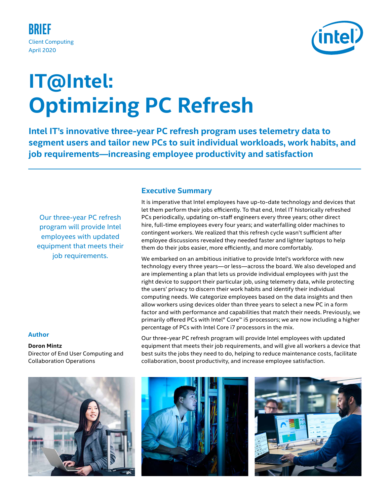

# **Optimizing PC Refresh IT@Intel:**

**Intel IT's innovative three-year PC refresh program uses telemetry data to segment users and tailor new PCs to suit individual workloads, work habits, and job requirements—increasing employee productivity and satisfaction**

**Executive Summary**

Our three-year PC refresh program will provide Intel employees with updated equipment that meets their job requirements.

## **Author**

**Doron Mintz** Director of End User Computing and Collaboration Operations

It is imperative that Intel employees have up-to-date technology and devices that let them perform their jobs efficiently. To that end, Intel IT historically refreshed PCs periodically, updating on-staff engineers every three years; other direct hire, full-time employees every four years; and waterfalling older machines to contingent workers. We realized that this refresh cycle wasn't sufficient after employee discussions revealed they needed faster and lighter laptops to help them do their jobs easier, more efficiently, and more comfortably.

We embarked on an ambitious initiative to provide Intel's workforce with new technology every three years—or less—across the board. We also developed and are implementing a plan that lets us provide individual employees with just the right device to support their particular job, using telemetry data, while protecting the users' privacy to discern their work habits and identify their individual computing needs. We categorize employees based on the data insights and then allow workers using devices older than three years to select a new PC in a form factor and with performance and capabilities that match their needs. Previously, we primarily offered PCs with Intel® Core™ i5 processors; we are now including a higher percentage of PCs with Intel Core i7 processors in the mix.

Our three-year PC refresh program will provide Intel employees with updated equipment that meets their job requirements, and will give all workers a device that best suits the jobs they need to do, helping to reduce maintenance costs, facilitate collaboration, boost productivity, and increase employee satisfaction.





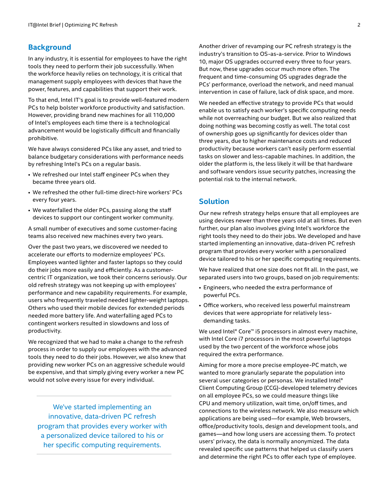## **Background**

In any industry, it is essential for employees to have the right tools they need to perform their job successfully. When the workforce heavily relies on technology, it is critical that management supply employees with devices that have the power, features, and capabilities that support their work.

To that end, Intel IT's goal is to provide well-featured modern PCs to help bolster workforce productivity and satisfaction. However, providing brand new machines for all 110,000 of Intel's employees each time there is a technological advancement would be logistically difficult and financially prohibitive.

We have always considered PCs like any asset, and tried to balance budgetary considerations with performance needs by refreshing Intel's PCs on a regular basis.

- We refreshed our Intel staff engineer PCs when they became three years old.
- We refreshed the other full-time direct-hire workers' PCs every four years.
- We waterfalled the older PCs, passing along the staff devices to support our contingent worker community.

A small number of executives and some customer-facing teams also received new machines every two years.

Over the past two years, we discovered we needed to accelerate our efforts to modernize employees' PCs. Employees wanted lighter and faster laptops so they could do their jobs more easily and efficiently. As a customercentric IT organization, we took their concerns seriously. Our old refresh strategy was not keeping up with employees' performance and new capability requirements. For example, users who frequently traveled needed lighter-weight laptops. Others who used their mobile devices for extended periods needed more battery life. And waterfalling aged PCs to contingent workers resulted in slowdowns and loss of productivity.

We recognized that we had to make a change to the refresh process in order to supply our employees with the advanced tools they need to do their jobs. However, we also knew that providing new worker PCs on an aggressive schedule would be expensive, and that simply giving every worker a new PC would not solve every issue for every individual.

We've started implementing an innovative, data-driven PC refresh program that provides every worker with a personalized device tailored to his or her specific computing requirements.

Another driver of revamping our PC refresh strategy is the industry's transition to OS-as-a-service. Prior to Windows 10, major OS upgrades occurred every three to four years. But now, these upgrades occur much more often. The frequent and time-consuming OS upgrades degrade the PCs' performance, overload the network, and need manual intervention in case of failure, lack of disk space, and more.

We needed an effective strategy to provide PCs that would enable us to satisfy each worker's specific computing needs while not overreaching our budget. But we also realized that doing nothing was becoming costly as well. The total cost of ownership goes up significantly for devices older than three years, due to higher maintenance costs and reduced productivity because workers can't easily perform essential tasks on slower and less-capable machines. In addition, the older the platform is, the less likely it will be that hardware and software vendors issue security patches, increasing the potential risk to the internal network.

## **Solution**

Our new refresh strategy helps ensure that all employees are using devices newer than three years old at all times. But even further, our plan also involves giving Intel's workforce the right tools they need to do their jobs. We developed and have started implementing an innovative, data-driven PC refresh program that provides every worker with a personalized device tailored to his or her specific computing requirements.

We have realized that one size does not fit all. In the past, we separated users into two groups, based on job requirements:

- Engineers, who needed the extra performance of powerful PCs.
- Office workers, who received less powerful mainstream devices that were appropriate for relatively lessdemanding tasks.

We used Intel® Core™ i5 processors in almost every machine, with Intel Core i7 processors in the most powerful laptops used by the two percent of the workforce whose jobs required the extra performance.

Aiming for more a more precise employee-PC match, we wanted to more granularly separate the population into several user categories or personas. We installed Intel® Client Computing Group (CCG)-developed telemetry devices on all employee PCs, so we could measure things like CPU and memory utilization, wait time, on/off times, and connections to the wireless network. We also measure which applications are being used—for example, Web browsers, office/productivity tools, design and development tools, and games—and how long users are accessing them. To protect users' privacy, the data is normally anonymized. The data revealed specific use patterns that helped us classify users and determine the right PCs to offer each type of employee.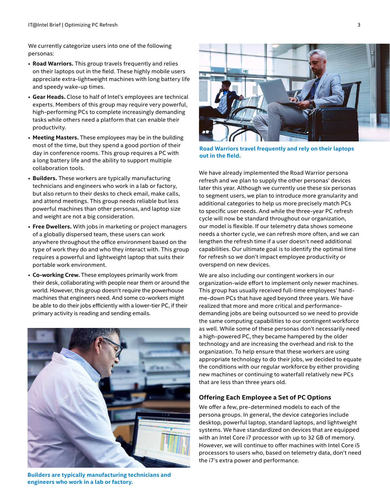We currently categorize users into one of the following personas:

- **Road Warriors.** This group travels frequently and relies on their laptops out in the field. These highly mobile users appreciate extra-lightweight machines with long battery life and speedy wake-up times.
- **Gear Heads.** Close to half of Intel's employees are technical experts. Members of this group may require very powerful, high-performing PCs to complete increasingly demanding tasks while others need a platform that can enable their productivity.
- **Meeting Masters.** These employees may be in the building most of the time, but they spend a good portion of their day in conference rooms. This group requires a PC with a long battery life and the ability to support multiple collaboration tools.
- **Builders.** These workers are typically manufacturing technicians and engineers who work in a lab or factory, but also return to their desks to check email, make calls, and attend meetings. This group needs reliable but less powerful machines than other personas, and laptop size and weight are not a big consideration.
- **Free Dwellers.** With jobs in marketing or project managers of a globally dispersed team, these users can work anywhere throughout the office environment based on the type of work they do and who they interact with. This group requires a powerful and lightweight laptop that suits their portable work environment.
- **Co-working Crew.** These employees primarily work from their desk, collaborating with people near them or around the world. However, this group doesn't require the powerhouse machines that engineers need. And some co-workers might be able to do their jobs efficiently with a lower-tier PC, if their primary activity is reading and sending emails.



**Builders are typically manufacturing technicians and engineers who work in a lab or factory.**



**Road Warriors travel frequently and rely on their laptops out in the field.** 

We have already implemented the Road Warrior persona refresh and we plan to supply the other personas' devices later this year. Although we currently use these six personas to segment users, we plan to introduce more granularity and additional categories to help us more precisely match PCs to specific user needs. And while the three-year PC refresh cycle will now be standard throughout our organization, our model is flexible. If our telemetry data shows someone needs a shorter cycle, we can refresh more often, and we can lengthen the refresh time if a user doesn't need additional capabilities. Our ultimate goal is to identify the optimal time for refresh so we don't impact employee productivity or overspend on new devices.

We are also including our contingent workers in our organization-wide effort to implement only newer machines. This group has usually received full-time employees' handme-down PCs that have aged beyond three years. We have realized that more and more critical and performancedemanding jobs are being outsourced so we need to provide the same computing capabilities to our contingent workforce as well. While some of these personas don't necessarily need a high-powered PC, they became hampered by the older technology and are increasing the overhead and risk to the organization. To help ensure that these workers are using appropriate technology to do their jobs, we decided to equate the conditions with our regular workforce by either providing new machines or continuing to waterfall relatively new PCs that are less than three years old.

### **Offering Each Employee a Set of PC Options**

We offer a few, pre-determined models to each of the persona groups. In general, the device categories include desktop, powerful laptop, standard laptops, and lightweight systems. We have standardized on devices that are equipped with an Intel Core i7 processor with up to 32 GB of memory. However, we will continue to offer machines with Intel Core i5 processors to users who, based on telemetry data, don't need the i7's extra power and performance.